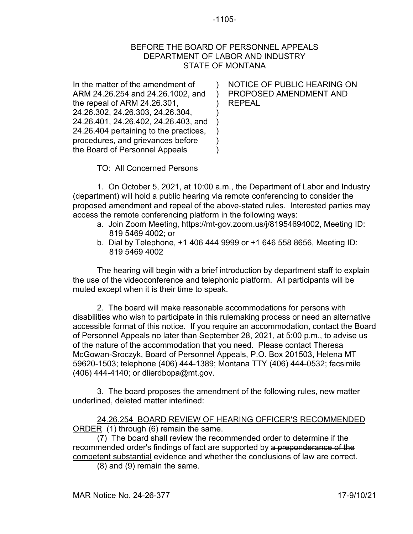## -1105-

## BEFORE THE BOARD OF PERSONNEL APPEALS DEPARTMENT OF LABOR AND INDUSTRY STATE OF MONTANA

 $\lambda$ ) ) ) ) ) ) )

In the matter of the amendment of ARM 24.26.254 and 24.26.1002, and the repeal of ARM 24.26.301, 24.26.302, 24.26.303, 24.26.304, 24.26.401, 24.26.402, 24.26.403, and 24.26.404 pertaining to the practices, procedures, and grievances before the Board of Personnel Appeals

NOTICE OF PUBLIC HEARING ON PROPOSED AMENDMENT AND REPEAL

TO: All Concerned Persons

1. On October 5, 2021, at 10:00 a.m., the Department of Labor and Industry (department) will hold a public hearing via remote conferencing to consider the proposed amendment and repeal of the above-stated rules. Interested parties may access the remote conferencing platform in the following ways:

- a. Join Zoom Meeting, https://mt-gov.zoom.us/j/81954694002, Meeting ID: 819 5469 4002; or
- b. Dial by Telephone, +1 406 444 9999 or +1 646 558 8656, Meeting ID: 819 5469 4002

The hearing will begin with a brief introduction by department staff to explain the use of the videoconference and telephonic platform. All participants will be muted except when it is their time to speak.

2. The board will make reasonable accommodations for persons with disabilities who wish to participate in this rulemaking process or need an alternative accessible format of this notice. If you require an accommodation, contact the Board of Personnel Appeals no later than September 28, 2021, at 5:00 p.m., to advise us of the nature of the accommodation that you need. Please contact Theresa McGowan-Sroczyk, Board of Personnel Appeals, P.O. Box 201503, Helena MT 59620-1503; telephone (406) 444-1389; Montana TTY (406) 444-0532; facsimile (406) 444-4140; or dlierdbopa@mt.gov.

3. The board proposes the amendment of the following rules, new matter underlined, deleted matter interlined:

24.26.254 BOARD REVIEW OF HEARING OFFICER'S RECOMMENDED ORDER (1) through (6) remain the same.

(7) The board shall review the recommended order to determine if the recommended order's findings of fact are supported by a preponderance of the competent substantial evidence and whether the conclusions of law are correct.

(8) and (9) remain the same.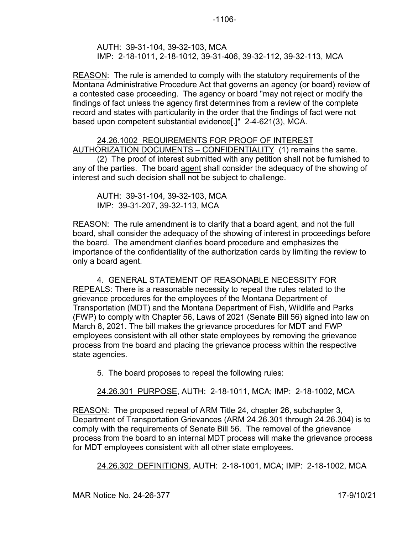-1106-

AUTH: 39-31-104, 39-32-103, MCA IMP: 2-18-1011, 2-18-1012, 39-31-406, 39-32-112, 39-32-113, MCA

REASON: The rule is amended to comply with the statutory requirements of the Montana Administrative Procedure Act that governs an agency (or board) review of a contested case proceeding. The agency or board "may not reject or modify the findings of fact unless the agency first determines from a review of the complete record and states with particularity in the order that the findings of fact were not based upon competent substantial evidence[.]" 2-4-621(3), MCA.

## 24.26.1002 REQUIREMENTS FOR PROOF OF INTEREST AUTHORIZATION DOCUMENTS – CONFIDENTIALITY (1) remains the same.

(2) The proof of interest submitted with any petition shall not be furnished to any of the parties. The board agent shall consider the adequacy of the showing of interest and such decision shall not be subject to challenge.

AUTH: 39-31-104, 39-32-103, MCA IMP: 39-31-207, 39-32-113, MCA

REASON: The rule amendment is to clarify that a board agent, and not the full board, shall consider the adequacy of the showing of interest in proceedings before the board. The amendment clarifies board procedure and emphasizes the importance of the confidentiality of the authorization cards by limiting the review to only a board agent.

4. GENERAL STATEMENT OF REASONABLE NECESSITY FOR REPEALS: There is a reasonable necessity to repeal the rules related to the grievance procedures for the employees of the Montana Department of Transportation (MDT) and the Montana Department of Fish, Wildlife and Parks (FWP) to comply with Chapter 56, Laws of 2021 (Senate Bill 56) signed into law on March 8, 2021. The bill makes the grievance procedures for MDT and FWP employees consistent with all other state employees by removing the grievance process from the board and placing the grievance process within the respective state agencies.

5. The board proposes to repeal the following rules:

24.26.301 PURPOSE, AUTH: 2-18-1011, MCA; IMP: 2-18-1002, MCA

REASON: The proposed repeal of ARM Title 24, chapter 26, subchapter 3, Department of Transportation Grievances (ARM 24.26.301 through 24.26.304) is to comply with the requirements of Senate Bill 56. The removal of the grievance process from the board to an internal MDT process will make the grievance process for MDT employees consistent with all other state employees.

24.26.302 DEFINITIONS, AUTH: 2-18-1001, MCA; IMP: 2-18-1002, MCA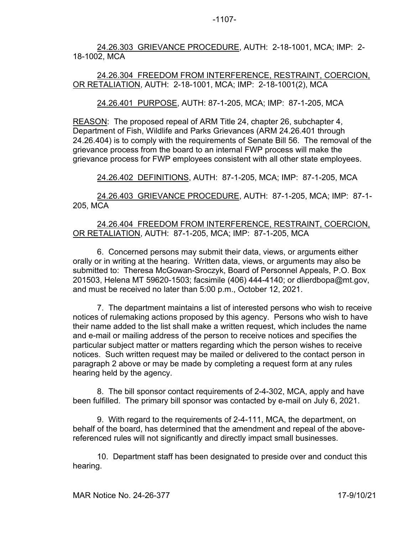24.26.303 GRIEVANCE PROCEDURE, AUTH: 2-18-1001, MCA; IMP: 2- 18-1002, MCA

24.26.304 FREEDOM FROM INTERFERENCE, RESTRAINT, COERCION, OR RETALIATION, AUTH: 2-18-1001, MCA; IMP: 2-18-1001(2), MCA

24.26.401 PURPOSE, AUTH: 87-1-205, MCA; IMP: 87-1-205, MCA

REASON: The proposed repeal of ARM Title 24, chapter 26, subchapter 4, Department of Fish, Wildlife and Parks Grievances (ARM 24.26.401 through 24.26.404) is to comply with the requirements of Senate Bill 56. The removal of the grievance process from the board to an internal FWP process will make the grievance process for FWP employees consistent with all other state employees.

24.26.402 DEFINITIONS, AUTH: 87-1-205, MCA; IMP: 87-1-205, MCA

24.26.403 GRIEVANCE PROCEDURE, AUTH: 87-1-205, MCA; IMP: 87-1- 205, MCA

## 24.26.404 FREEDOM FROM INTERFERENCE, RESTRAINT, COERCION, OR RETALIATION, AUTH: 87-1-205, MCA; IMP: 87-1-205, MCA

6. Concerned persons may submit their data, views, or arguments either orally or in writing at the hearing. Written data, views, or arguments may also be submitted to: Theresa McGowan-Sroczyk, Board of Personnel Appeals, P.O. Box 201503, Helena MT 59620-1503; facsimile (406) 444-4140; or dlierdbopa@mt.gov, and must be received no later than 5:00 p.m., October 12, 2021.

7. The department maintains a list of interested persons who wish to receive notices of rulemaking actions proposed by this agency. Persons who wish to have their name added to the list shall make a written request, which includes the name and e-mail or mailing address of the person to receive notices and specifies the particular subject matter or matters regarding which the person wishes to receive notices. Such written request may be mailed or delivered to the contact person in paragraph 2 above or may be made by completing a request form at any rules hearing held by the agency.

8. The bill sponsor contact requirements of 2-4-302, MCA, apply and have been fulfilled. The primary bill sponsor was contacted by e-mail on July 6, 2021.

9. With regard to the requirements of 2-4-111, MCA, the department, on behalf of the board, has determined that the amendment and repeal of the abovereferenced rules will not significantly and directly impact small businesses.

10. Department staff has been designated to preside over and conduct this hearing.